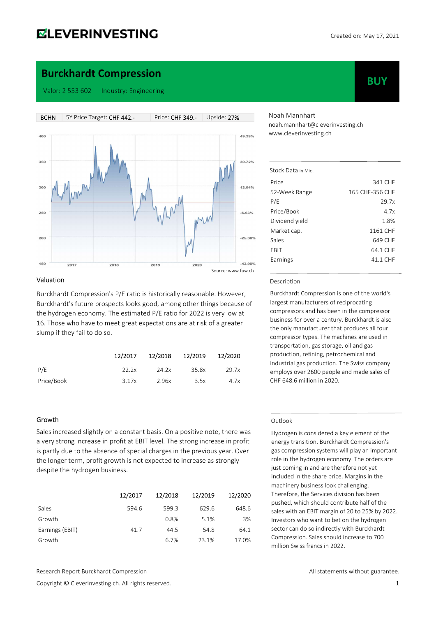# **ELEVERINVESTING**

**BUY** 

### Burckhardt Compression

Valor: 2 553 602 Industry: Engineering



#### Valuation

Burckhardt Compression's P/E ratio is historically reasonable. However, Burckhardt's future prospects looks good, among other things because of the hydrogen economy. The estimated P/E ratio for 2022 is very low at 16. Those who have to meet great expectations are at risk of a greater slump if they fail to do so.

|            | 12/2017 |       | 12/2018 12/2019 | 12/2020 |
|------------|---------|-------|-----------------|---------|
| P/E        | 22.2x   | 24.2x | 35.8x           | 29.7x   |
| Price/Book | 3.17x   | 2.96x | 3.5x            | 4.7x    |

#### Growth

Sales increased slightly on a constant basis. On a positive note, there was a very strong increase in profit at EBIT level. The strong increase in profit is partly due to the absence of special charges in the previous year. Over the longer term, profit growth is not expected to increase as strongly despite the hydrogen business.

|                 | 12/2017 | 12/2018 | 12/2019 | 12/2020 |
|-----------------|---------|---------|---------|---------|
| Sales           | 594.6   | 599.3   | 629.6   | 648.6   |
| Growth          |         | 0.8%    | 5.1%    | 3%      |
| Earnings (EBIT) | 41.7    | 44.5    | 54.8    | 64.1    |
| Growth          |         | 6.7%    | 23.1%   | 17.0%   |

Research Report Burckhardt Compression **All statements without guarantee.** All statements without guarantee.

Copyright © Cleverinvesting.ch. All rights reserved. 1

Noah Mannhart noah.mannhart@cleverinvesting.ch www.cleverinvesting.ch

| Stock Data in Mio. |                 |
|--------------------|-----------------|
| Price              | 341 CHF         |
| 52-Week Range      | 165 CHF-356 CHF |
| P/E                | 29.7x           |
| Price/Book         | 4.7x            |
| Dividend yield     | 1.8%            |
| Market cap.        | 1161 CHF        |
| Sales              | 649 CHF         |
| EBIT               | 64.1 CHF        |
| Earnings           | 41.1 CHF        |

#### Description

Burckhardt Compression is one of the world's largest manufacturers of reciprocating compressors and has been in the compressor business for over a century. Burckhardt is also the only manufacturer that produces all four compressor types. The machines are used in transportation, gas storage, oil and gas production, refining, petrochemical and industrial gas production. The Swiss company employs over 2600 people and made sales of CHF 648.6 million in 2020.

#### Outlook

Hydrogen is considered a key element of the energy transition. Burckhardt Compression's gas compression systems will play an important role in the hydrogen economy. The orders are just coming in and are therefore not yet included in the share price. Margins in the machinery business look challenging. Therefore, the Services division has been pushed, which should contribute half of the sales with an EBIT margin of 20 to 25% by 2022. Investors who want to bet on the hydrogen sector can do so indirectly with Burckhardt Compression. Sales should increase to 700 million Swiss francs in 2022.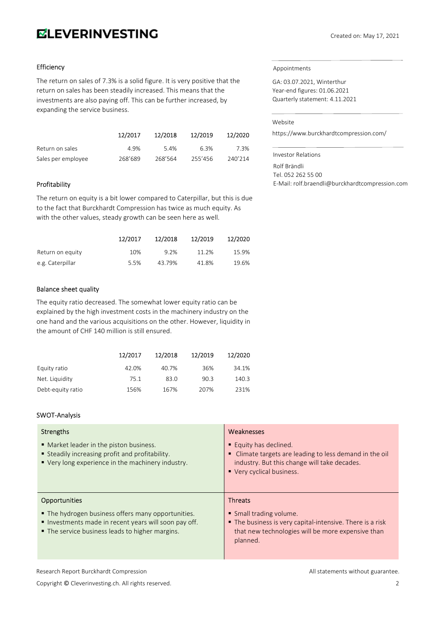# **ELEVERINVESTING**

#### Efficiency

The return on sales of 7.3% is a solid figure. It is very positive that the return on sales has been steadily increased. This means that the investments are also paying off. This can be further increased, by expanding the service business.

|                    | 12/2017 | 12/2018 | 12/2019 | 12/2020 |
|--------------------|---------|---------|---------|---------|
| Return on sales    | 4.9%    | 5.4%    | 6.3%    | 7.3%    |
| Sales per employee | 268'689 | 268'564 | 255'456 | 240'214 |

#### Profitability

The return on equity is a bit lower compared to Caterpillar, but this is due to the fact that Burckhardt Compression has twice as much equity. As with the other values, steady growth can be seen here as well.

|                  | 12/2017 | 12/2018 | 12/2019 | 12/2020 |
|------------------|---------|---------|---------|---------|
| Return on equity | 10%     | 9.2%    | 11.2%   | 15.9%   |
| e.g. Caterpillar | 5.5%    | 43.79%  | 41.8%   | 19.6%   |

#### Balance sheet quality

The equity ratio decreased. The somewhat lower equity ratio can be explained by the high investment costs in the machinery industry on the one hand and the various acquisitions on the other. However, liquidity in the amount of CHF 140 million is still ensured.

|                   | 12/2017 | 12/2018 | 12/2019 | 12/2020 |
|-------------------|---------|---------|---------|---------|
| Equity ratio      | 42.0%   | 40.7%   | 36%     | 34.1%   |
| Net. Liquidity    | 75.1    | 83.0    | 90.3    | 140.3   |
| Debt-equity ratio | 156%    | 167%    | 207%    | 231%    |

### SWOT-Analysis

| Strengths<br>• Market leader in the piston business.<br>Steadily increasing profit and profitability.<br>• Very long experience in the machinery industry.                           | Weaknesses<br><b>Equity has declined.</b><br>• Climate targets are leading to less demand in the oil<br>industry. But this change will take decades.<br>• Very cyclical business. |
|--------------------------------------------------------------------------------------------------------------------------------------------------------------------------------------|-----------------------------------------------------------------------------------------------------------------------------------------------------------------------------------|
| <b>Opportunities</b><br>• The hydrogen business offers many opportunities.<br>Investments made in recent years will soon pay off.<br>• The service business leads to higher margins. | <b>Threats</b><br>• Small trading volume.<br>The business is very capital-intensive. There is a risk<br>that new technologies will be more expensive than<br>planned.             |

Research Report Burckhardt Compression **All statements without guarantee.** All statements without guarantee.

Appointments

GA: 03.07.2021, Winterthur Year-end figures: 01.06.2021 Quarterly statement: 4.11.2021

### Website

https://www.burckhardtcompression.com/

Investor Relations Rolf Brändli Tel. 052 262 55 00 E-Mail: rolf.braendli@burckhardtcompression.com

Copyright © Cleverinvesting.ch. All rights reserved. 2